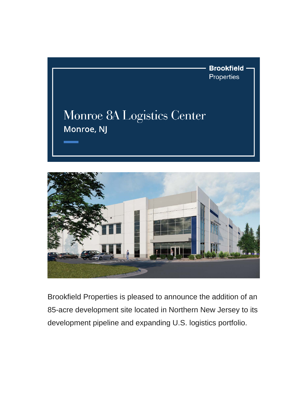



Brookfield Properties is pleased to announce the addition of an 85-acre development site located in Northern New Jersey to its development pipeline and expanding U.S. logistics portfolio.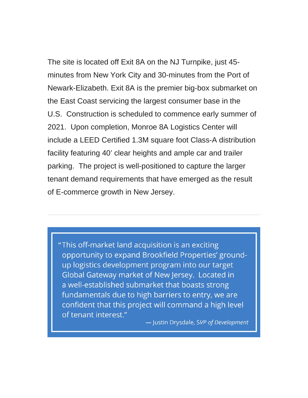The site is located off Exit 8A on the NJ Turnpike, just 45 minutes from New York City and 30-minutes from the Port of Newark-Elizabeth. Exit 8A is the premier big-box submarket on the East Coast servicing the largest consumer base in the U.S. Construction is scheduled to commence early summer of 2021. Upon completion, Monroe 8A Logistics Center will include a LEED Certified 1.3M square foot Class-A distribution facility featuring 40' clear heights and ample car and trailer parking. The project is well-positioned to capture the larger tenant demand requirements that have emerged as the result of E-commerce growth in New Jersey.

"This off-market land acquisition is an exciting opportunity to expand Brookfield Properties' groundup logistics development program into our target Global Gateway market of New Jersey. Located in a well-established submarket that boasts strong fundamentals due to high barriers to entry, we are confident that this project will command a high level of tenant interest."

- Justin Drysdale, SVP of Development